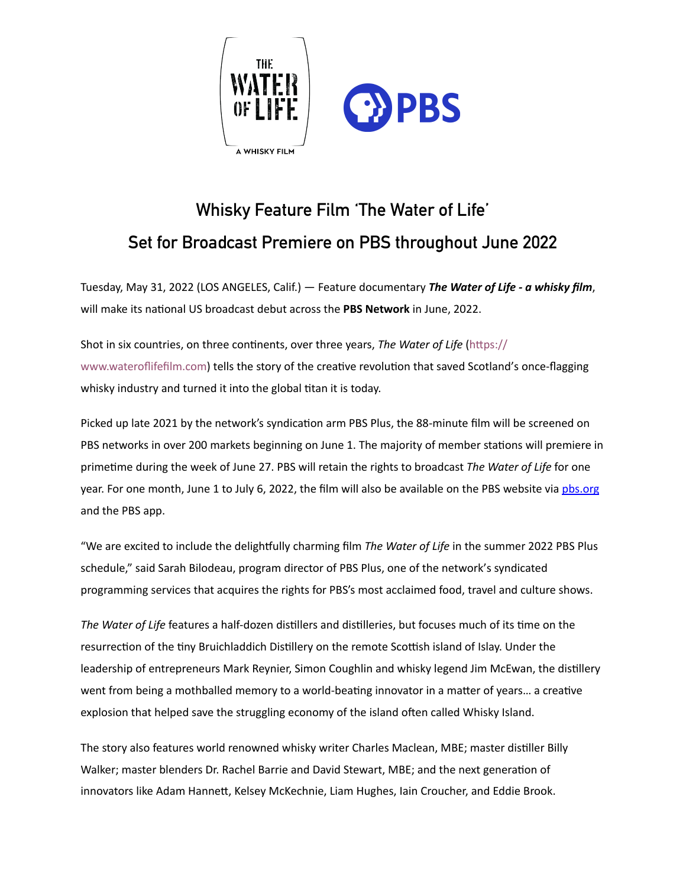

## **Whisky Feature Film 'The Water of Life' Set for Broadcast Premiere on PBS throughout June 2022**

Tuesday, May 31, 2022 (LOS ANGELES, Calif.) — Feature documentary The Water of Life - a whisky film, will make its national US broadcast debut across the PBS Network in June, 2022.

Shot in six countries, on three continents, over three years, *The Water of Life* (https:// www.wateroflifefilm.com) tells the story of the creative revolution that saved Scotland's once-flagging whisky industry and turned it into the global titan it is today.

Picked up late 2021 by the network's syndication arm PBS Plus, the 88-minute film will be screened on PBS networks in over 200 markets beginning on June 1. The majority of member stations will premiere in primetime during the week of June 27. PBS will retain the rights to broadcast The Water of Life for one year. For one month, June 1 to July 6, 2022, the film will also be available on the PBS website via [pbs.org](http://pbs.org) and the PBS app.

"We are excited to include the delightfully charming film *The Water of Life* in the summer 2022 PBS Plus schedule," said Sarah Bilodeau, program director of PBS Plus, one of the network's syndicated programming services that acquires the rights for PBS's most acclaimed food, travel and culture shows.

The Water of Life features a half-dozen distillers and distilleries, but focuses much of its time on the resurrection of the tiny Bruichladdich Distillery on the remote Scottish island of Islay. Under the leadership of entrepreneurs Mark Reynier, Simon Coughlin and whisky legend Jim McEwan, the distillery went from being a mothballed memory to a world-beating innovator in a matter of years... a creative explosion that helped save the struggling economy of the island often called Whisky Island.

The story also features world renowned whisky writer Charles Maclean, MBE; master distiller Billy Walker; master blenders Dr. Rachel Barrie and David Stewart, MBE; and the next generation of innovators like Adam Hannett, Kelsey McKechnie, Liam Hughes, Iain Croucher, and Eddie Brook.